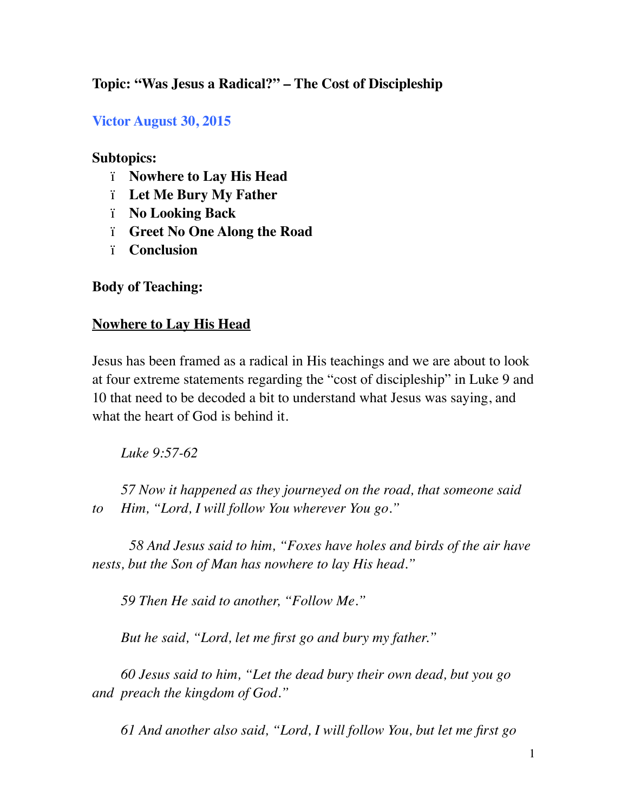# **Topic: "Was Jesus a Radical?" – The Cost of Discipleship**

#### **Victor August 30, 2015**

#### **Subtopics:**

- ï **Nowhere to Lay His Head**
- ï **Let Me Bury My Father**
- ï **No Looking Back**
- ï **Greet No One Along the Road**
- ï **Conclusion**

**Body of Teaching:** 

#### **Nowhere to Lay His Head**

Jesus has been framed as a radical in His teachings and we are about to look at four extreme statements regarding the "cost of discipleship" in Luke 9 and 10 that need to be decoded a bit to understand what Jesus was saying, and what the heart of God is behind it.

*Luke 9:57-62* 

*57 Now it happened as they journeyed on the road, that someone said to Him, "Lord, I will follow You wherever You go."*

*58 And Jesus said to him, "Foxes have holes and birds of the air have nests, but the Son of Man has nowhere to lay His head."*

*59 Then He said to another, "Follow Me."*

*But he said, "Lord, let me first go and bury my father."*

*60 Jesus said to him, "Let the dead bury their own dead, but you go and preach the kingdom of God."*

*61 And another also said, "Lord, I will follow You, but let me first go*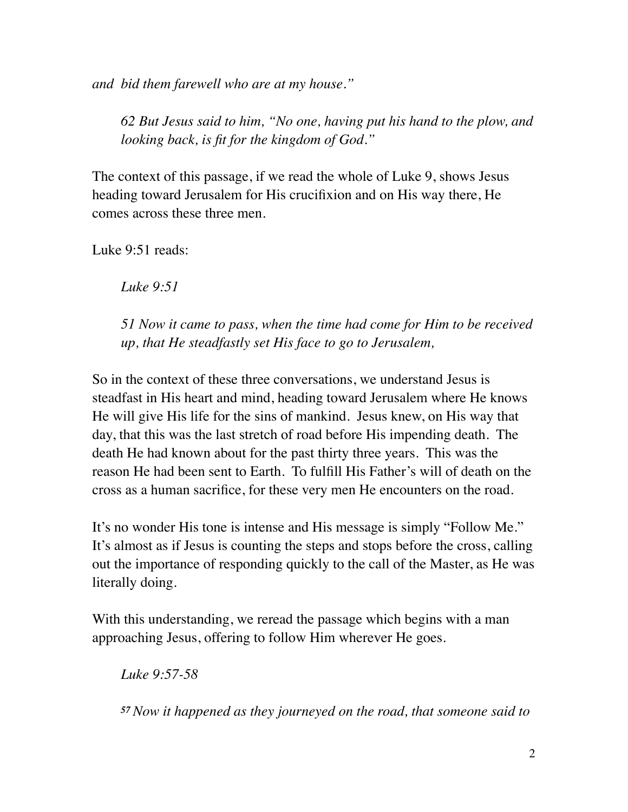*and bid them farewell who are at my house."*

*62 But Jesus said to him, "No one, having put his hand to the plow, and looking back, is fit for the kingdom of God."*

The context of this passage, if we read the whole of Luke 9, shows Jesus heading toward Jerusalem for His crucifixion and on His way there, He comes across these three men.

Luke 9:51 reads:

*Luke 9:51* 

*51 Now it came to pass, when the time had come for Him to be received up, that He steadfastly set His face to go to Jerusalem,*

So in the context of these three conversations, we understand Jesus is steadfast in His heart and mind, heading toward Jerusalem where He knows He will give His life for the sins of mankind. Jesus knew, on His way that day, that this was the last stretch of road before His impending death. The death He had known about for the past thirty three years. This was the reason He had been sent to Earth. To fulfill His Father's will of death on the cross as a human sacrifice, for these very men He encounters on the road.

It's no wonder His tone is intense and His message is simply "Follow Me." It's almost as if Jesus is counting the steps and stops before the cross, calling out the importance of responding quickly to the call of the Master, as He was literally doing.

With this understanding, we reread the passage which begins with a man approaching Jesus, offering to follow Him wherever He goes.

*Luke 9:57-58* 

*<sup>57</sup>Now it happened as they journeyed on the road, that someone said to*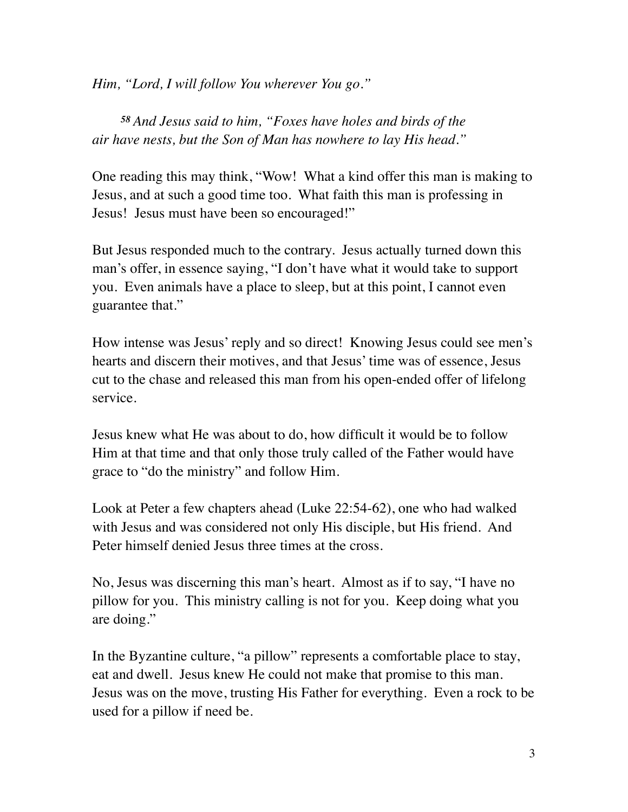*Him, "Lord, I will follow You wherever You go."*

*<sup>58</sup> And Jesus said to him, "Foxes have holes and birds of the air have nests, but the Son of Man has nowhere to lay His head."*

One reading this may think, "Wow! What a kind offer this man is making to Jesus, and at such a good time too. What faith this man is professing in Jesus! Jesus must have been so encouraged!"

But Jesus responded much to the contrary. Jesus actually turned down this man's offer, in essence saying, "I don't have what it would take to support you. Even animals have a place to sleep, but at this point, I cannot even guarantee that."

How intense was Jesus' reply and so direct! Knowing Jesus could see men's hearts and discern their motives, and that Jesus' time was of essence, Jesus cut to the chase and released this man from his open-ended offer of lifelong service.

Jesus knew what He was about to do, how difficult it would be to follow Him at that time and that only those truly called of the Father would have grace to "do the ministry" and follow Him.

Look at Peter a few chapters ahead (Luke 22:54-62), one who had walked with Jesus and was considered not only His disciple, but His friend. And Peter himself denied Jesus three times at the cross.

No, Jesus was discerning this man's heart. Almost as if to say, "I have no pillow for you. This ministry calling is not for you. Keep doing what you are doing."

In the Byzantine culture, "a pillow" represents a comfortable place to stay, eat and dwell. Jesus knew He could not make that promise to this man. Jesus was on the move, trusting His Father for everything. Even a rock to be used for a pillow if need be.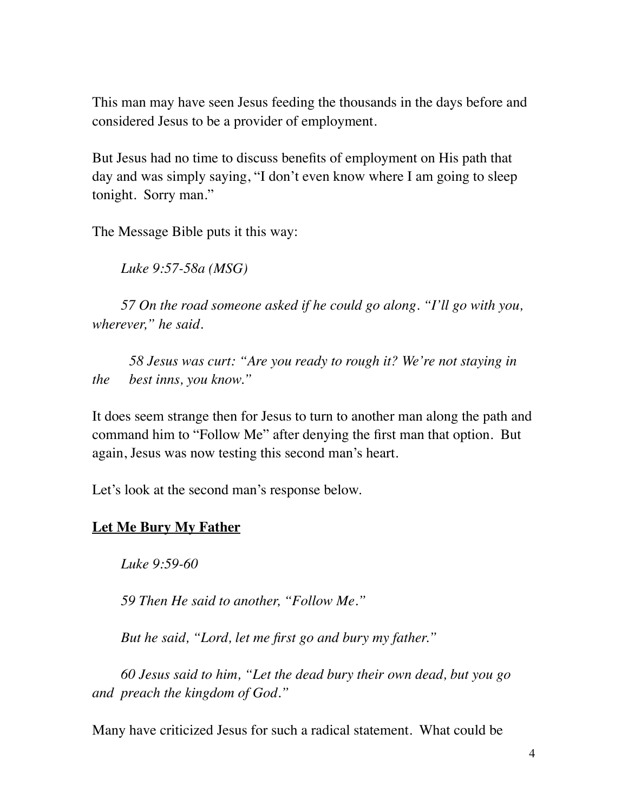This man may have seen Jesus feeding the thousands in the days before and considered Jesus to be a provider of employment.

But Jesus had no time to discuss benefits of employment on His path that day and was simply saying, "I don't even know where I am going to sleep tonight. Sorry man."

The Message Bible puts it this way:

*Luke 9:57-58a (MSG)*

*57 On the road someone asked if he could go along. "I'll go with you, wherever," he said.*

*58 Jesus was curt: "Are you ready to rough it? We're not staying in the best inns, you know."*

It does seem strange then for Jesus to turn to another man along the path and command him to "Follow Me" after denying the first man that option. But again, Jesus was now testing this second man's heart.

Let's look at the second man's response below.

# **Let Me Bury My Father**

*Luke 9:59-60* 

*59 Then He said to another, "Follow Me."*

*But he said, "Lord, let me first go and bury my father."*

*60 Jesus said to him, "Let the dead bury their own dead, but you go and preach the kingdom of God."*

Many have criticized Jesus for such a radical statement. What could be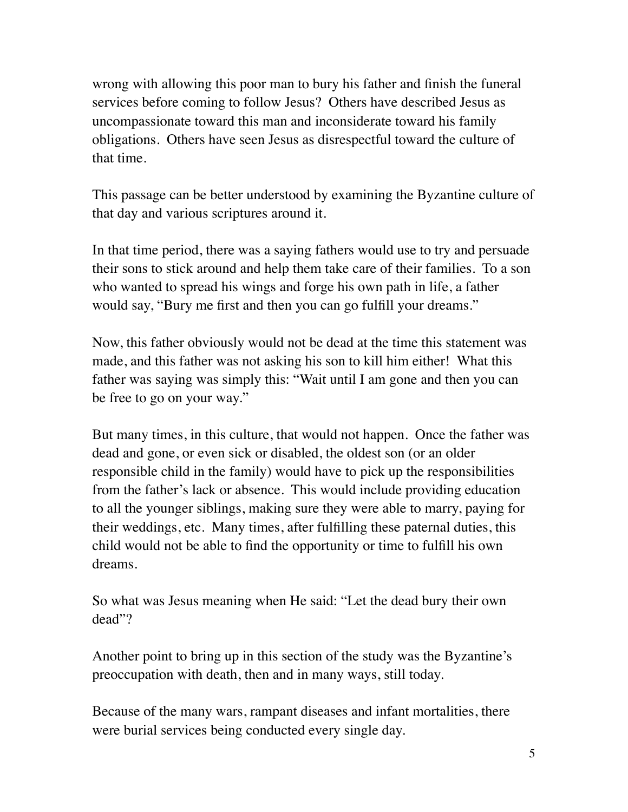wrong with allowing this poor man to bury his father and finish the funeral services before coming to follow Jesus? Others have described Jesus as uncompassionate toward this man and inconsiderate toward his family obligations. Others have seen Jesus as disrespectful toward the culture of that time.

This passage can be better understood by examining the Byzantine culture of that day and various scriptures around it.

In that time period, there was a saying fathers would use to try and persuade their sons to stick around and help them take care of their families. To a son who wanted to spread his wings and forge his own path in life, a father would say, "Bury me first and then you can go fulfill your dreams."

Now, this father obviously would not be dead at the time this statement was made, and this father was not asking his son to kill him either! What this father was saying was simply this: "Wait until I am gone and then you can be free to go on your way."

But many times, in this culture, that would not happen. Once the father was dead and gone, or even sick or disabled, the oldest son (or an older responsible child in the family) would have to pick up the responsibilities from the father's lack or absence. This would include providing education to all the younger siblings, making sure they were able to marry, paying for their weddings, etc. Many times, after fulfilling these paternal duties, this child would not be able to find the opportunity or time to fulfill his own dreams.

So what was Jesus meaning when He said: "Let the dead bury their own dead"?

Another point to bring up in this section of the study was the Byzantine's preoccupation with death, then and in many ways, still today.

Because of the many wars, rampant diseases and infant mortalities, there were burial services being conducted every single day.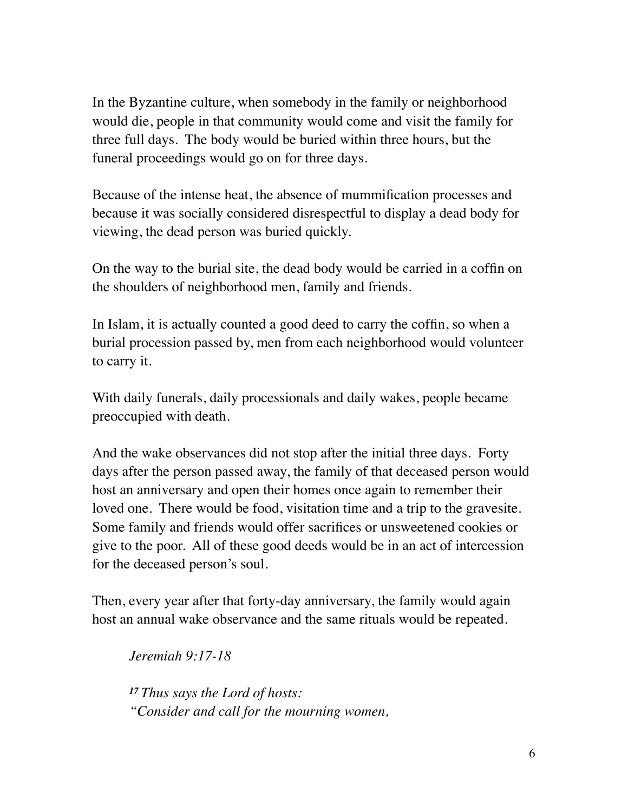In the Byzantine culture, when somebody in the family or neighborhood would die, people in that community would come and visit the family for three full days. The body would be buried within three hours, but the funeral proceedings would go on for three days.

Because of the intense heat, the absence of mummification processes and because it was socially considered disrespectful to display a dead body for viewing, the dead person was buried quickly.

On the way to the burial site, the dead body would be carried in a coffin on the shoulders of neighborhood men, family and friends.

In Islam, it is actually counted a good deed to carry the coffin, so when a burial procession passed by, men from each neighborhood would volunteer to carry it.

With daily funerals, daily processionals and daily wakes, people became preoccupied with death.

And the wake observances did not stop after the initial three days. Forty days after the person passed away, the family of that deceased person would host an anniversary and open their homes once again to remember their loved one. There would be food, visitation time and a trip to the gravesite. Some family and friends would offer sacrifices or unsweetened cookies or give to the poor. All of these good deeds would be in an act of intercession for the deceased person's soul.

Then, every year after that forty-day anniversary, the family would again host an annual wake observance and the same rituals would be repeated.

*Jeremiah 9:17-18* 

*<sup>17</sup> Thus says the Lord of hosts: "Consider and call for the mourning women,*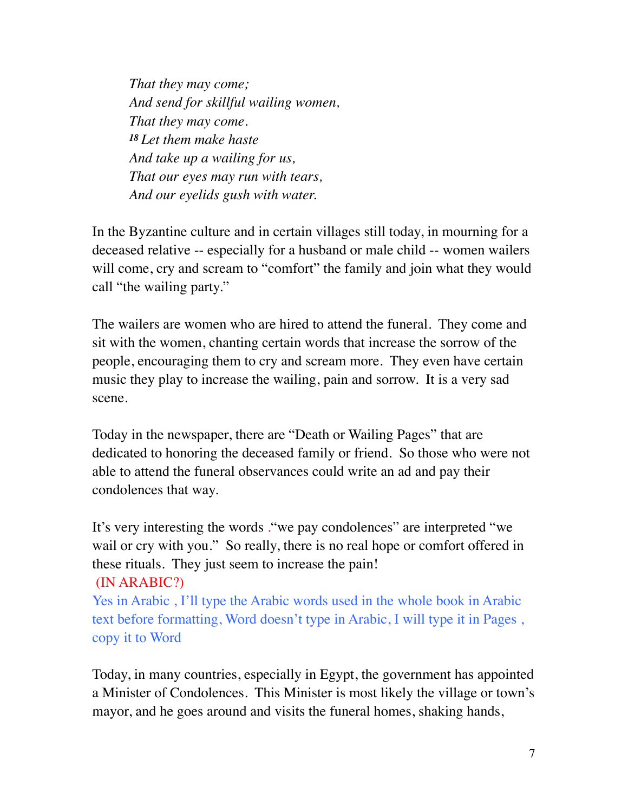*That they may come; And send for skillful wailing women, That they may come. <sup>18</sup> Let them make haste And take up a wailing for us, That our eyes may run with tears, And our eyelids gush with water.*

In the Byzantine culture and in certain villages still today, in mourning for a deceased relative -- especially for a husband or male child -- women wailers will come, cry and scream to "comfort" the family and join what they would call "the wailing party."

The wailers are women who are hired to attend the funeral. They come and sit with the women, chanting certain words that increase the sorrow of the people, encouraging them to cry and scream more. They even have certain music they play to increase the wailing, pain and sorrow. It is a very sad scene.

Today in the newspaper, there are "Death or Wailing Pages" that are dedicated to honoring the deceased family or friend. So those who were not able to attend the funeral observances could write an ad and pay their condolences that way.

It's very interesting the words ."we pay condolences" are interpreted "we wail or cry with you." So really, there is no real hope or comfort offered in these rituals. They just seem to increase the pain! (IN ARABIC?)

Yes in Arabic , I'll type the Arabic words used in the whole book in Arabic text before formatting, Word doesn't type in Arabic, I will type it in Pages , copy it to Word

Today, in many countries, especially in Egypt, the government has appointed a Minister of Condolences. This Minister is most likely the village or town's mayor, and he goes around and visits the funeral homes, shaking hands,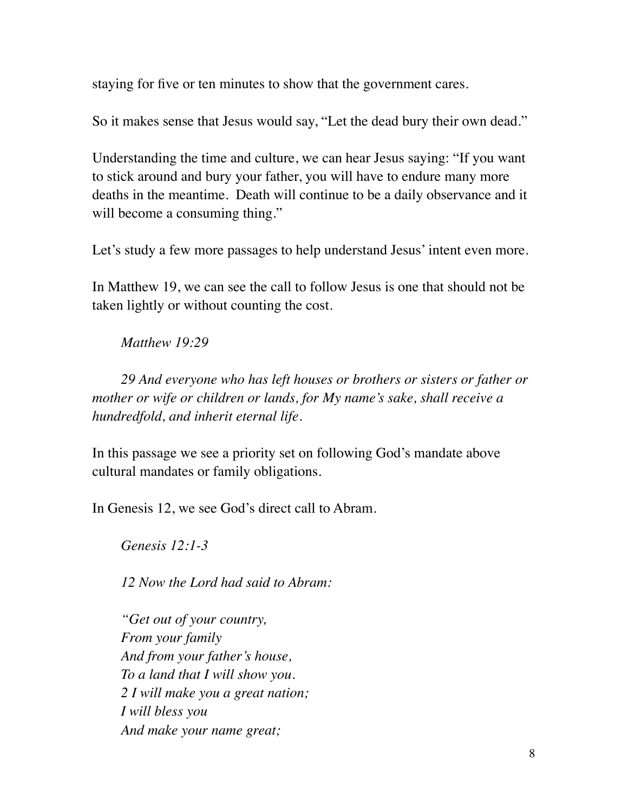staying for five or ten minutes to show that the government cares.

So it makes sense that Jesus would say, "Let the dead bury their own dead."

Understanding the time and culture, we can hear Jesus saying: "If you want to stick around and bury your father, you will have to endure many more deaths in the meantime. Death will continue to be a daily observance and it will become a consuming thing."

Let's study a few more passages to help understand Jesus' intent even more.

In Matthew 19, we can see the call to follow Jesus is one that should not be taken lightly or without counting the cost.

*Matthew 19:29* 

*29 And everyone who has left houses or brothers or sisters or father or mother or wife or children or lands, for My name's sake, shall receive a hundredfold, and inherit eternal life.*

In this passage we see a priority set on following God's mandate above cultural mandates or family obligations.

In Genesis 12, we see God's direct call to Abram.

*Genesis 12:1-3* 

*12 Now the Lord had said to Abram:*

*"Get out of your country, From your family And from your father's house, To a land that I will show you. 2 I will make you a great nation; I will bless you And make your name great;*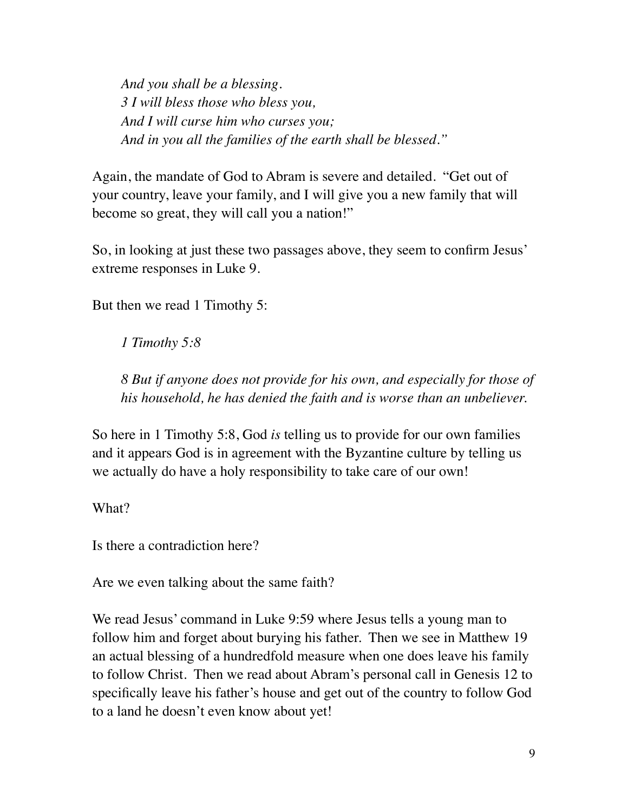*And you shall be a blessing. 3 I will bless those who bless you, And I will curse him who curses you; And in you all the families of the earth shall be blessed."*

Again, the mandate of God to Abram is severe and detailed. "Get out of your country, leave your family, and I will give you a new family that will become so great, they will call you a nation!"

So, in looking at just these two passages above, they seem to confirm Jesus' extreme responses in Luke 9.

But then we read 1 Timothy 5:

*1 Timothy 5:8* 

*8 But if anyone does not provide for his own, and especially for those of his household, he has denied the faith and is worse than an unbeliever.*

So here in 1 Timothy 5:8, God *is* telling us to provide for our own families and it appears God is in agreement with the Byzantine culture by telling us we actually do have a holy responsibility to take care of our own!

What?

Is there a contradiction here?

Are we even talking about the same faith?

We read Jesus' command in Luke 9:59 where Jesus tells a young man to follow him and forget about burying his father. Then we see in Matthew 19 an actual blessing of a hundredfold measure when one does leave his family to follow Christ. Then we read about Abram's personal call in Genesis 12 to specifically leave his father's house and get out of the country to follow God to a land he doesn't even know about yet!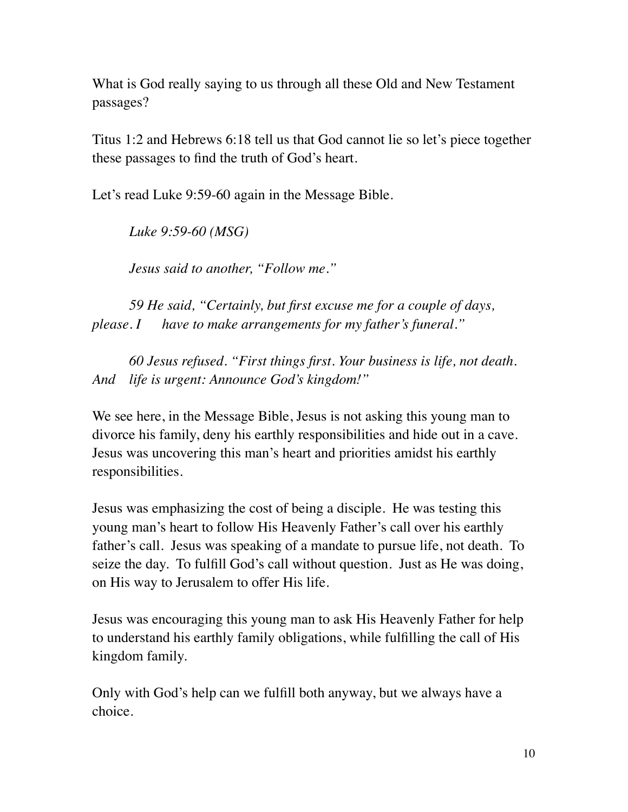What is God really saying to us through all these Old and New Testament passages?

Titus 1:2 and Hebrews 6:18 tell us that God cannot lie so let's piece together these passages to find the truth of God's heart.

Let's read Luke 9:59-60 again in the Message Bible.

*Luke 9:59-60 (MSG)*

*Jesus said to another, "Follow me."*

*59 He said, "Certainly, but first excuse me for a couple of days, please. I have to make arrangements for my father's funeral."*

*60 Jesus refused. "First things first. Your business is life, not death. And life is urgent: Announce God's kingdom!"*

We see here, in the Message Bible, Jesus is not asking this young man to divorce his family, deny his earthly responsibilities and hide out in a cave. Jesus was uncovering this man's heart and priorities amidst his earthly responsibilities.

Jesus was emphasizing the cost of being a disciple. He was testing this young man's heart to follow His Heavenly Father's call over his earthly father's call. Jesus was speaking of a mandate to pursue life, not death. To seize the day. To fulfill God's call without question. Just as He was doing, on His way to Jerusalem to offer His life.

Jesus was encouraging this young man to ask His Heavenly Father for help to understand his earthly family obligations, while fulfilling the call of His kingdom family.

Only with God's help can we fulfill both anyway, but we always have a choice.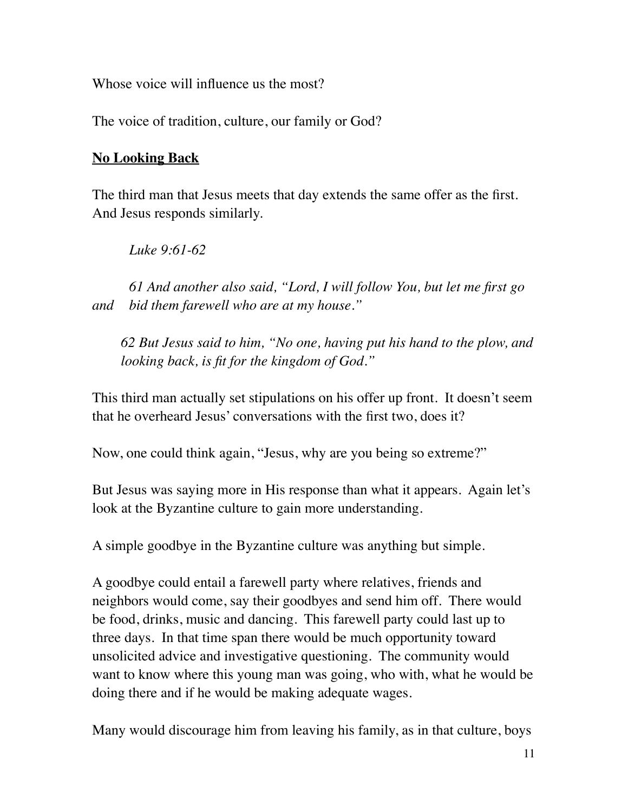Whose voice will influence us the most?

The voice of tradition, culture, our family or God?

# **No Looking Back**

The third man that Jesus meets that day extends the same offer as the first. And Jesus responds similarly.

*Luke 9:61-62* 

*61 And another also said, "Lord, I will follow You, but let me first go and bid them farewell who are at my house."*

*62 But Jesus said to him, "No one, having put his hand to the plow, and looking back, is fit for the kingdom of God."*

This third man actually set stipulations on his offer up front. It doesn't seem that he overheard Jesus' conversations with the first two, does it?

Now, one could think again, "Jesus, why are you being so extreme?"

But Jesus was saying more in His response than what it appears. Again let's look at the Byzantine culture to gain more understanding.

A simple goodbye in the Byzantine culture was anything but simple.

A goodbye could entail a farewell party where relatives, friends and neighbors would come, say their goodbyes and send him off. There would be food, drinks, music and dancing. This farewell party could last up to three days. In that time span there would be much opportunity toward unsolicited advice and investigative questioning. The community would want to know where this young man was going, who with, what he would be doing there and if he would be making adequate wages.

Many would discourage him from leaving his family, as in that culture, boys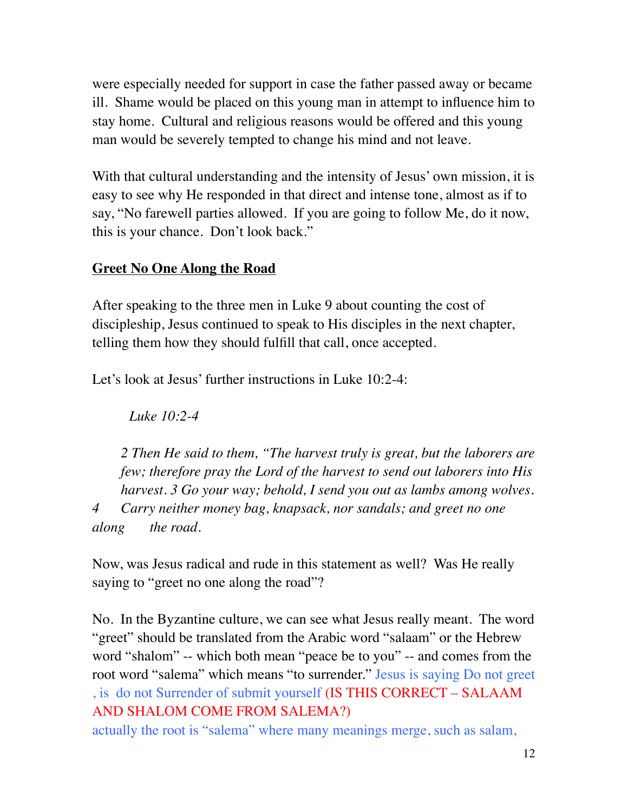were especially needed for support in case the father passed away or became ill. Shame would be placed on this young man in attempt to influence him to stay home. Cultural and religious reasons would be offered and this young man would be severely tempted to change his mind and not leave.

With that cultural understanding and the intensity of Jesus' own mission, it is easy to see why He responded in that direct and intense tone, almost as if to say, "No farewell parties allowed. If you are going to follow Me, do it now, this is your chance. Don't look back."

#### **Greet No One Along the Road**

After speaking to the three men in Luke 9 about counting the cost of discipleship, Jesus continued to speak to His disciples in the next chapter, telling them how they should fulfill that call, once accepted.

Let's look at Jesus' further instructions in Luke 10:2-4:

*Luke 10:2-4* 

*2 Then He said to them, "The harvest truly is great, but the laborers are few; therefore pray the Lord of the harvest to send out laborers into His harvest. 3 Go your way; behold, I send you out as lambs among wolves. 4 Carry neither money bag, knapsack, nor sandals; and greet no one along the road.*

Now, was Jesus radical and rude in this statement as well? Was He really saying to "greet no one along the road"?

No. In the Byzantine culture, we can see what Jesus really meant. The word "greet" should be translated from the Arabic word "salaam" or the Hebrew word "shalom" -- which both mean "peace be to you" -- and comes from the root word "salema" which means "to surrender." Jesus is saying Do not greet , is do not Surrender of submit yourself (IS THIS CORRECT – SALAAM AND SHALOM COME FROM SALEMA?)

actually the root is "salema" where many meanings merge, such as salam,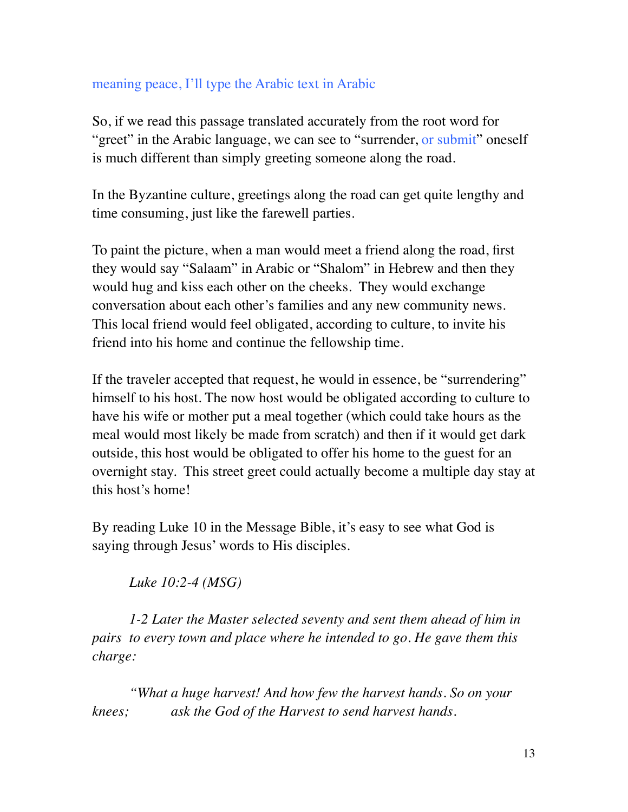#### meaning peace, I'll type the Arabic text in Arabic

So, if we read this passage translated accurately from the root word for "greet" in the Arabic language, we can see to "surrender, or submit" oneself is much different than simply greeting someone along the road.

In the Byzantine culture, greetings along the road can get quite lengthy and time consuming, just like the farewell parties.

To paint the picture, when a man would meet a friend along the road, first they would say "Salaam" in Arabic or "Shalom" in Hebrew and then they would hug and kiss each other on the cheeks. They would exchange conversation about each other's families and any new community news. This local friend would feel obligated, according to culture, to invite his friend into his home and continue the fellowship time.

If the traveler accepted that request, he would in essence, be "surrendering" himself to his host. The now host would be obligated according to culture to have his wife or mother put a meal together (which could take hours as the meal would most likely be made from scratch) and then if it would get dark outside, this host would be obligated to offer his home to the guest for an overnight stay. This street greet could actually become a multiple day stay at this host's home!

By reading Luke 10 in the Message Bible, it's easy to see what God is saying through Jesus' words to His disciples.

*Luke 10:2-4 (MSG)*

*1-2 Later the Master selected seventy and sent them ahead of him in pairs to every town and place where he intended to go. He gave them this charge:*

*"What a huge harvest! And how few the harvest hands. So on your knees; ask the God of the Harvest to send harvest hands.*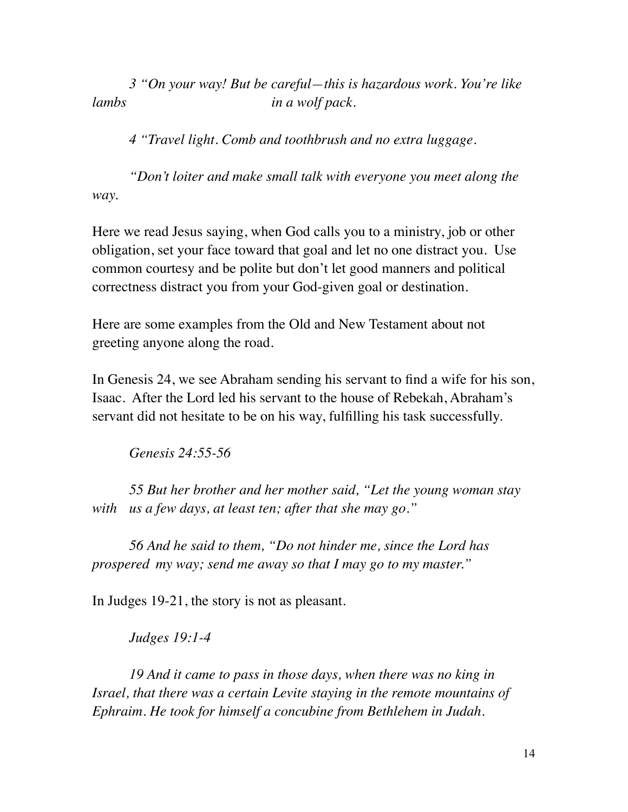*3 "On your way! But be careful—this is hazardous work. You're like lambs in a wolf pack.*

*4 "Travel light. Comb and toothbrush and no extra luggage.*

*"Don't loiter and make small talk with everyone you meet along the way.*

Here we read Jesus saying, when God calls you to a ministry, job or other obligation, set your face toward that goal and let no one distract you. Use common courtesy and be polite but don't let good manners and political correctness distract you from your God-given goal or destination.

Here are some examples from the Old and New Testament about not greeting anyone along the road.

In Genesis 24, we see Abraham sending his servant to find a wife for his son, Isaac. After the Lord led his servant to the house of Rebekah, Abraham's servant did not hesitate to be on his way, fulfilling his task successfully.

*Genesis 24:55-56* 

*55 But her brother and her mother said, "Let the young woman stay with us a few days, at least ten; after that she may go."*

*56 And he said to them, "Do not hinder me, since the Lord has prospered my way; send me away so that I may go to my master."*

In Judges 19-21, the story is not as pleasant.

*Judges 19:1-4* 

*19 And it came to pass in those days, when there was no king in Israel, that there was a certain Levite staying in the remote mountains of Ephraim. He took for himself a concubine from Bethlehem in Judah.*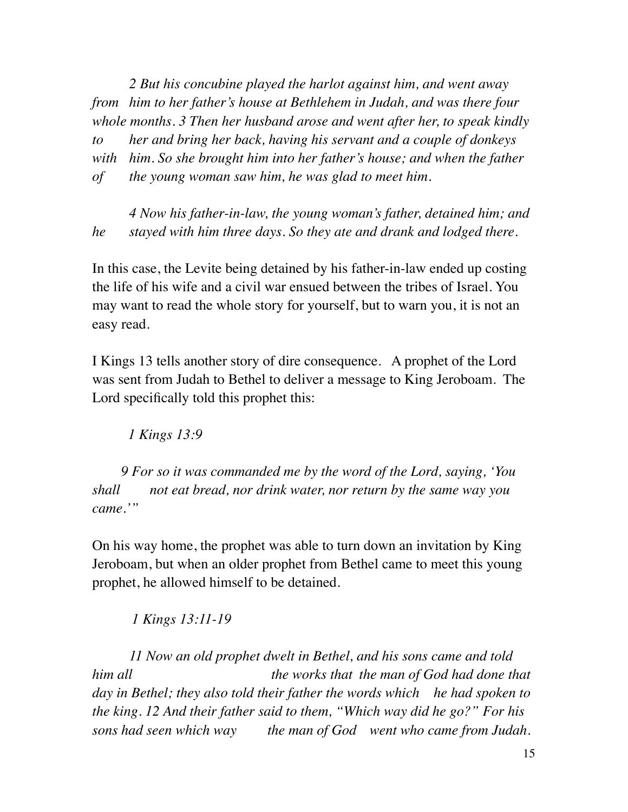*2 But his concubine played the harlot against him, and went away from him to her father's house at Bethlehem in Judah, and was there four whole months. 3 Then her husband arose and went after her, to speak kindly to her and bring her back, having his servant and a couple of donkeys with him. So she brought him into her father's house; and when the father of the young woman saw him, he was glad to meet him.* 

*4 Now his father-in-law, the young woman's father, detained him; and he stayed with him three days. So they ate and drank and lodged there.*

In this case, the Levite being detained by his father-in-law ended up costing the life of his wife and a civil war ensued between the tribes of Israel. You may want to read the whole story for yourself, but to warn you, it is not an easy read.

I Kings 13 tells another story of dire consequence. A prophet of the Lord was sent from Judah to Bethel to deliver a message to King Jeroboam. The Lord specifically told this prophet this:

 *1 Kings 13:9* 

*9 For so it was commanded me by the word of the Lord, saying, 'You shall not eat bread, nor drink water, nor return by the same way you came.'"*

On his way home, the prophet was able to turn down an invitation by King Jeroboam, but when an older prophet from Bethel came to meet this young prophet, he allowed himself to be detained.

 *1 Kings 13:11-19* 

*11 Now an old prophet dwelt in Bethel, and his sons came and told him all* the works that the man of God had done that *day in Bethel; they also told their father the words which he had spoken to the king. 12 And their father said to them, "Which way did he go?" For his sons had seen which way the man of God went who came from Judah.*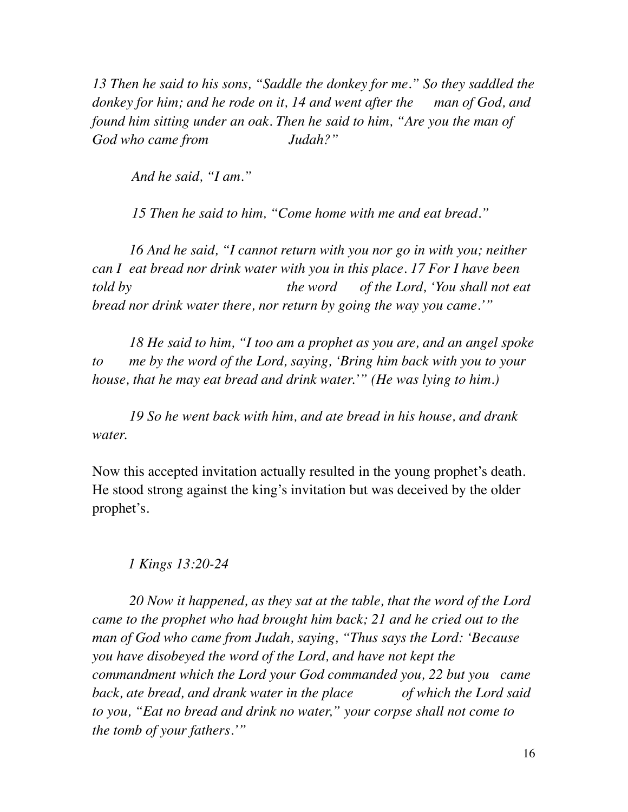*13 Then he said to his sons, "Saddle the donkey for me." So they saddled the donkey for him; and he rode on it, 14 and went after the man of God, and found him sitting under an oak. Then he said to him, "Are you the man of God who came from Judah?"*

 *And he said, "I am."*

 *15 Then he said to him, "Come home with me and eat bread."*

*16 And he said, "I cannot return with you nor go in with you; neither can I eat bread nor drink water with you in this place. 17 For I have been told by the word of the Lord, 'You shall not eat bread nor drink water there, nor return by going the way you came.'"*

*18 He said to him, "I too am a prophet as you are, and an angel spoke to me by the word of the Lord, saying, 'Bring him back with you to your house, that he may eat bread and drink water.'" (He was lying to him.)*

*19 So he went back with him, and ate bread in his house, and drank water.*

Now this accepted invitation actually resulted in the young prophet's death. He stood strong against the king's invitation but was deceived by the older prophet's.

#### *1 Kings 13:20-24*

*20 Now it happened, as they sat at the table, that the word of the Lord came to the prophet who had brought him back; 21 and he cried out to the man of God who came from Judah, saying, "Thus says the Lord: 'Because you have disobeyed the word of the Lord, and have not kept the commandment which the Lord your God commanded you, 22 but you came back, ate bread, and drank water in the place* of which the Lord said *to you, "Eat no bread and drink no water," your corpse shall not come to the tomb of your fathers.'"*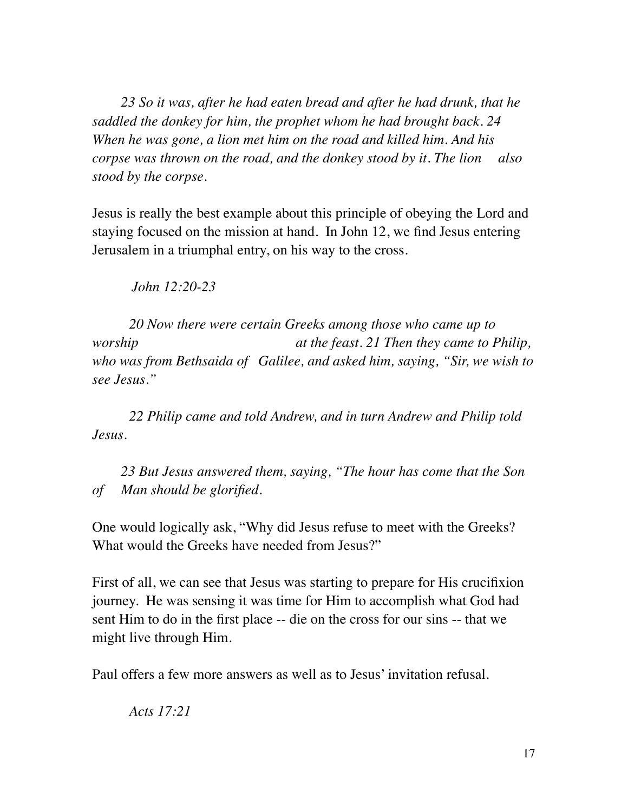*23 So it was, after he had eaten bread and after he had drunk, that he saddled the donkey for him, the prophet whom he had brought back. 24 When he was gone, a lion met him on the road and killed him. And his corpse was thrown on the road, and the donkey stood by it. The lion also stood by the corpse.*

Jesus is really the best example about this principle of obeying the Lord and staying focused on the mission at hand. In John 12, we find Jesus entering Jerusalem in a triumphal entry, on his way to the cross.

 *John 12:20-23* 

*20 Now there were certain Greeks among those who came up to worship at the feast. 21 Then they came to Philip, who was from Bethsaida of Galilee, and asked him, saying, "Sir, we wish to see Jesus."*

*22 Philip came and told Andrew, and in turn Andrew and Philip told Jesus.*

*23 But Jesus answered them, saying, "The hour has come that the Son of Man should be glorified.*

One would logically ask, "Why did Jesus refuse to meet with the Greeks? What would the Greeks have needed from Jesus?"

First of all, we can see that Jesus was starting to prepare for His crucifixion journey. He was sensing it was time for Him to accomplish what God had sent Him to do in the first place -- die on the cross for our sins -- that we might live through Him.

Paul offers a few more answers as well as to Jesus' invitation refusal.

*Acts 17:21*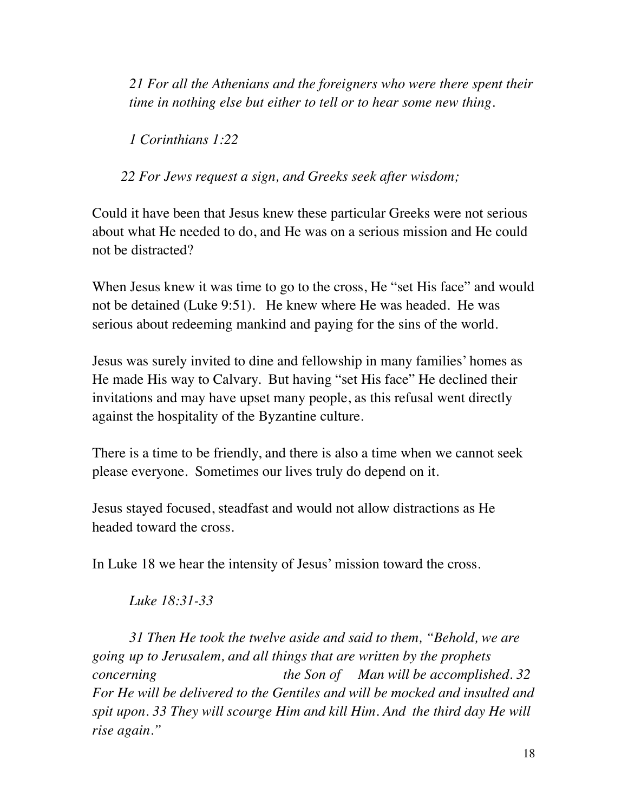*21 For all the Athenians and the foreigners who were there spent their time in nothing else but either to tell or to hear some new thing.*

*1 Corinthians 1:22* 

*22 For Jews request a sign, and Greeks seek after wisdom;*

Could it have been that Jesus knew these particular Greeks were not serious about what He needed to do, and He was on a serious mission and He could not be distracted?

When Jesus knew it was time to go to the cross, He "set His face" and would not be detained (Luke 9:51). He knew where He was headed. He was serious about redeeming mankind and paying for the sins of the world.

Jesus was surely invited to dine and fellowship in many families' homes as He made His way to Calvary. But having "set His face" He declined their invitations and may have upset many people, as this refusal went directly against the hospitality of the Byzantine culture.

There is a time to be friendly, and there is also a time when we cannot seek please everyone. Sometimes our lives truly do depend on it.

Jesus stayed focused, steadfast and would not allow distractions as He headed toward the cross.

In Luke 18 we hear the intensity of Jesus' mission toward the cross.

*Luke 18:31-33*

*31 Then He took the twelve aside and said to them, "Behold, we are going up to Jerusalem, and all things that are written by the prophets concerning the Son of Man will be accomplished. 32 For He will be delivered to the Gentiles and will be mocked and insulted and spit upon. 33 They will scourge Him and kill Him. And the third day He will rise again."*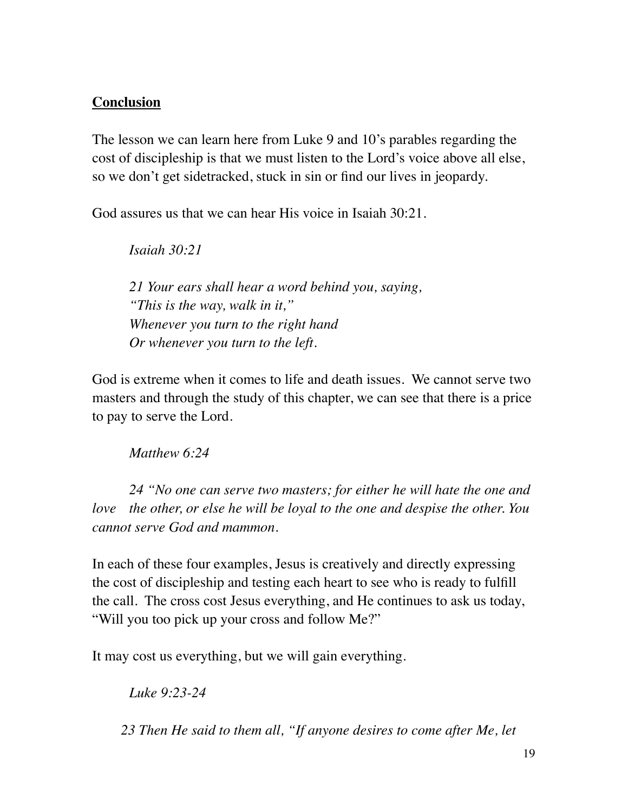# **Conclusion**

The lesson we can learn here from Luke 9 and 10's parables regarding the cost of discipleship is that we must listen to the Lord's voice above all else, so we don't get sidetracked, stuck in sin or find our lives in jeopardy.

God assures us that we can hear His voice in Isaiah 30:21.

*Isaiah 30:21* 

*21 Your ears shall hear a word behind you, saying, "This is the way, walk in it," Whenever you turn to the right hand Or whenever you turn to the left.*

God is extreme when it comes to life and death issues. We cannot serve two masters and through the study of this chapter, we can see that there is a price to pay to serve the Lord.

*Matthew 6:24* 

*24 "No one can serve two masters; for either he will hate the one and love the other, or else he will be loyal to the one and despise the other. You cannot serve God and mammon.*

In each of these four examples, Jesus is creatively and directly expressing the cost of discipleship and testing each heart to see who is ready to fulfill the call. The cross cost Jesus everything, and He continues to ask us today, "Will you too pick up your cross and follow Me?"

It may cost us everything, but we will gain everything.

*Luke 9:23-24* 

*23 Then He said to them all, "If anyone desires to come after Me, let*